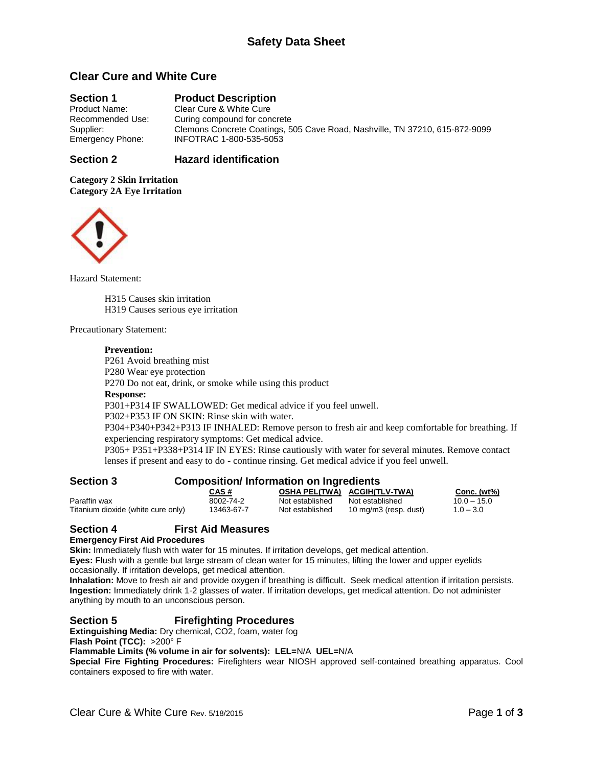# **Clear Cure and White Cure**

# **Section 1 Product Description**<br>**Product Name:** Clear Cure & White Cure

Clear Cure & White Cure Recommended Use: Curing compound for concrete Supplier: Clemons Concrete Coatings, 505 Cave Road, Nashville, TN 37210, 615-872-9099<br>Emergency Phone: INFOTRAC 1-800-535-5053 Emergency Phone: INFOTRAC 1-800-535-5053

#### **Section 2 Hazard identification**

**Category 2 Skin Irritation Category 2A Eye Irritation**



Hazard Statement:

H315 Causes skin irritation H319 Causes serious eye irritation

#### Precautionary Statement:

#### **Prevention:**

P261 Avoid breathing mist

P280 Wear eye protection

P270 Do not eat, drink, or smoke while using this product

#### **Response:**

P301+P314 IF SWALLOWED: Get medical advice if you feel unwell.

P302+P353 IF ON SKIN: Rinse skin with water.

P304+P340+P342+P313 IF INHALED: Remove person to fresh air and keep comfortable for breathing. If experiencing respiratory symptoms: Get medical advice.

P305+ P351+P338+P314 IF IN EYES: Rinse cautiously with water for several minutes. Remove contact lenses if present and easy to do - continue rinsing. Get medical advice if you feel unwell.

| <b>Section 3</b>                   | <b>Composition/Information on Ingredients</b> |                 |                              |                |
|------------------------------------|-----------------------------------------------|-----------------|------------------------------|----------------|
|                                    | CAS #                                         |                 | OSHA PELITWA) ACGIHITLY-TWA) | Conc. $(wt\%)$ |
| Paraffin wax                       | 8002-74-2                                     | Not established | Not established              | $10.0 - 15.0$  |
| Titanium dioxide (white cure only) | 13463-67-7                                    | Not established | 10 mg/m3 (resp. dust)        | $1.0 - 3.0$    |

### **Section 4 First Aid Measures**

#### **Emergency First Aid Procedures**

**Skin:** Immediately flush with water for 15 minutes. If irritation develops, get medical attention.

**Eyes:** Flush with a gentle but large stream of clean water for 15 minutes, lifting the lower and upper eyelids occasionally. If irritation develops, get medical attention.

**Inhalation:** Move to fresh air and provide oxygen if breathing is difficult. Seek medical attention if irritation persists. **Ingestion:** Immediately drink 1-2 glasses of water. If irritation develops, get medical attention. Do not administer anything by mouth to an unconscious person.

# **Section 5 Firefighting Procedures**

**Extinguishing Media:** Dry chemical, CO2, foam, water fog

**Flash Point (TCC):** >200° F

**Flammable Limits (% volume in air for solvents): LEL=**N/A **UEL=**N/A

**Special Fire Fighting Procedures:** Firefighters wear NIOSH approved self-contained breathing apparatus. Cool containers exposed to fire with water.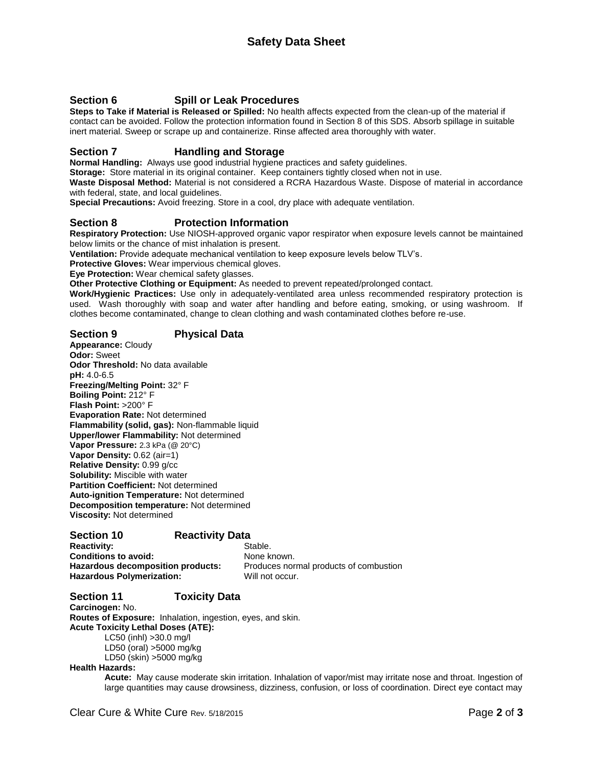# **Section 6 Spill or Leak Procedures**

**Steps to Take if Material is Released or Spilled:** No health affects expected from the clean-up of the material if contact can be avoided. Follow the protection information found in Section 8 of this SDS. Absorb spillage in suitable inert material. Sweep or scrape up and containerize. Rinse affected area thoroughly with water.

## **Section 7 Handling and Storage**

**Normal Handling:** Always use good industrial hygiene practices and safety guidelines.

**Storage:** Store material in its original container. Keep containers tightly closed when not in use.

**Waste Disposal Method:** Material is not considered a RCRA Hazardous Waste. Dispose of material in accordance with federal, state, and local guidelines.

**Special Precautions:** Avoid freezing. Store in a cool, dry place with adequate ventilation.

#### **Section 8 Protection Information**

**Respiratory Protection:** Use NIOSH-approved organic vapor respirator when exposure levels cannot be maintained below limits or the chance of mist inhalation is present.

**Ventilation:** Provide adequate mechanical ventilation to keep exposure levels below TLV's.

**Protective Gloves:** Wear impervious chemical gloves.

**Eye Protection:** Wear chemical safety glasses.

**Other Protective Clothing or Equipment:** As needed to prevent repeated/prolonged contact.

**Work/Hygienic Practices:** Use only in adequately-ventilated area unless recommended respiratory protection is used. Wash thoroughly with soap and water after handling and before eating, smoking, or using washroom. If clothes become contaminated, change to clean clothing and wash contaminated clothes before re-use.

**Section 9 Physical Data Appearance:** Cloudy **Odor:** Sweet **Odor Threshold:** No data available **pH:** 4.0-6.5 **Freezing/Melting Point:** 32° F **Boiling Point:** 212° F **Flash Point:** >200° F **Evaporation Rate:** Not determined **Flammability (solid, gas):** Non-flammable liquid **Upper/lower Flammability:** Not determined **Vapor Pressure:** 2.3 kPa (@ 20°C) **Vapor Density:** 0.62 (air=1) **Relative Density:** 0.99 g/cc **Solubility:** Miscible with water **Partition Coefficient:** Not determined **Auto-ignition Temperature:** Not determined **Decomposition temperature:** Not determined **Viscosity:** Not determined

### **Section 10** Reactivity Data

**Reactivity:** Stable. **Conditions to avoid:** None known. Hazardous Polymerization: Will not occur.

Hazardous decomposition products: Produces normal products of combustion

# **Section 11 Toxicity Data**

**Carcinogen:** No. **Routes of Exposure:** Inhalation, ingestion, eyes, and skin. **Acute Toxicity Lethal Doses (ATE):** LC50 (inhl) >30.0 mg/l LD50 (oral) >5000 mg/kg

LD50 (skin) >5000 mg/kg

#### **Health Hazards:**

**Acute:** May cause moderate skin irritation. Inhalation of vapor/mist may irritate nose and throat. Ingestion of large quantities may cause drowsiness, dizziness, confusion, or loss of coordination. Direct eye contact may